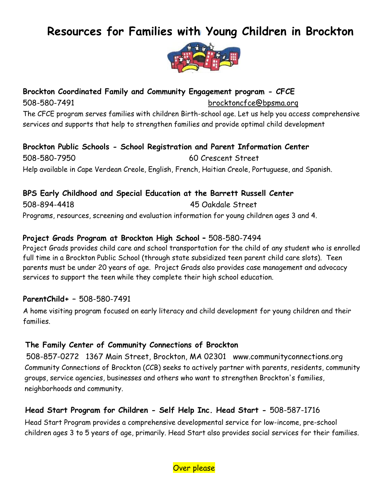# **Resources for Families with Young Children in Brockton**



**Brockton Coordinated Family and Community Engagement program - CFCE** 508-580-7491 brocktoncfce@bpsma.orq The CFCE program serves families with children Birth-school age. Let us help you access comprehensive services and supports that help to strengthen families and provide optimal child development

**Brockton Public Schools - School Registration and Parent Information Center** 508-580-7950 60 Crescent Street Help available in Cape Verdean Creole, English, French, Haitian Creole, Portuguese, and Spanish.

**BPS Early Childhood and Special Education at the Barrett Russell Center** 508-894-4418 45 Oakdale Street Programs, resources, screening and evaluation information for young children ages 3 and 4.

#### **Project Grads Program at Brockton High School -** 508-580-7494

Project Grads provides child care and school transportation for the child of any student who is enrolled full time in a Brockton Public School (through state subsidized teen parent child care slots). Teen parents must be under 20 years of age. Project Grads also provides case management and advocacy services to support the teen while they complete their high school education.

#### **ParentChild+ –** 508-580-7491

A home visiting program focused on early literacy and child development for young children and their families.

#### **The Family Center of Community Connections of Brockton**

508-857-0272 1367 Main Street, Brockton, MA 02301 www.communityconnections.org Community Connections of Brockton (CCB) seeks to actively partner with parents, residents, community groups, service agencies, businesses and others who want to strengthen Brockton's families, neighborhoods and community.

## **Head Start Program for Children - Self Help Inc. Head Start -** 508-587-1716

Head Start Program provides a comprehensive developmental service for low-income, pre-school children ages 3 to 5 years of age, primarily. Head Start also provides social services for their families.